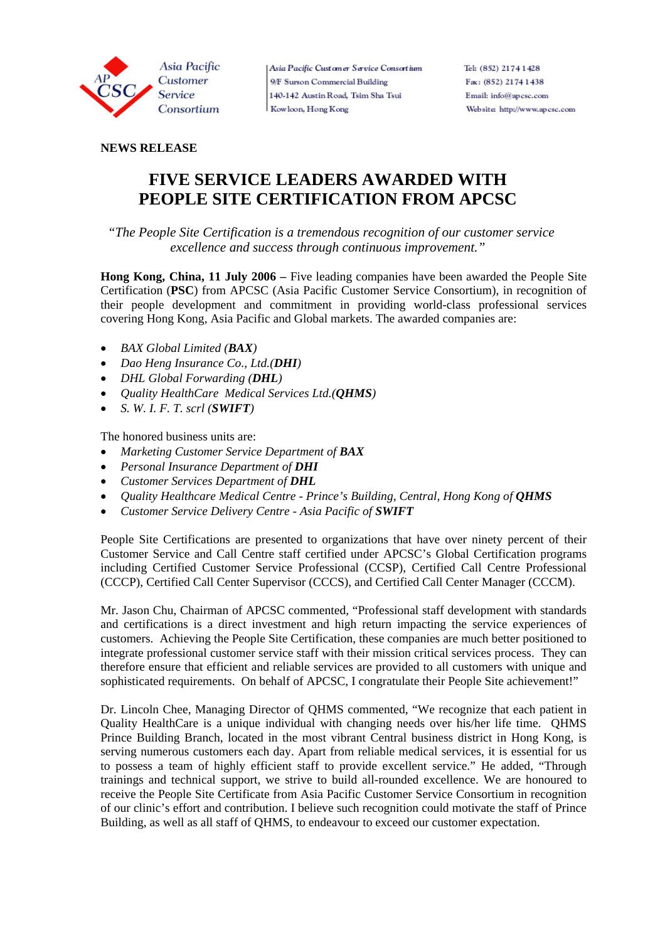

Asia Pacific Customer Service Consortium 9/F Surson Commercial Building 140-142 Austin Road, Tsim Sha Tsui Kowloon, Hong Kong

# **NEWS RELEASE**

# **FIVE SERVICE LEADERS AWARDED WITH PEOPLE SITE CERTIFICATION FROM APCSC**

 *"The People Site Certification is a tremendous recognition of our customer service excellence and success through continuous improvement."* 

**Hong Kong, China, 11 July 2006 –** Five leading companies have been awarded the People Site Certification (**PSC**) from APCSC (Asia Pacific Customer Service Consortium), in recognition of their people development and commitment in providing world-class professional services covering Hong Kong, Asia Pacific and Global markets. The awarded companies are:

- *BAX Global Limited (BAX)*
- *Dao Heng Insurance Co., Ltd.(DHI)*
- *DHL Global Forwarding (DHL)*
- *Quality HealthCare Medical Services Ltd.(QHMS)*
- *S. W. I. F. T. scrl (SWIFT)*

The honored business units are:

- *Marketing Customer Service Department of BAX*
- *Personal Insurance Department of DHI*
- *Customer Services Department of DHL*
- *Quality Healthcare Medical Centre Prince's Building, Central, Hong Kong of OHMS*
- *Customer Service Delivery Centre Asia Pacific of SWIFT*

People Site Certifications are presented to organizations that have over ninety percent of their Customer Service and Call Centre staff certified under APCSC's Global Certification programs including Certified Customer Service Professional (CCSP), Certified Call Centre Professional (CCCP), Certified Call Center Supervisor (CCCS), and Certified Call Center Manager (CCCM).

Mr. Jason Chu, Chairman of APCSC commented, "Professional staff development with standards and certifications is a direct investment and high return impacting the service experiences of customers. Achieving the People Site Certification, these companies are much better positioned to integrate professional customer service staff with their mission critical services process. They can therefore ensure that efficient and reliable services are provided to all customers with unique and sophisticated requirements. On behalf of APCSC, I congratulate their People Site achievement!"

Dr. Lincoln Chee, Managing Director of QHMS commented, "We recognize that each patient in Quality HealthCare is a unique individual with changing needs over his/her life time. QHMS Prince Building Branch, located in the most vibrant Central business district in Hong Kong, is serving numerous customers each day. Apart from reliable medical services, it is essential for us to possess a team of highly efficient staff to provide excellent service." He added, "Through trainings and technical support, we strive to build all-rounded excellence. We are honoured to receive the People Site Certificate from Asia Pacific Customer Service Consortium in recognition of our clinic's effort and contribution. I believe such recognition could motivate the staff of Prince Building, as well as all staff of QHMS, to endeavour to exceed our customer expectation.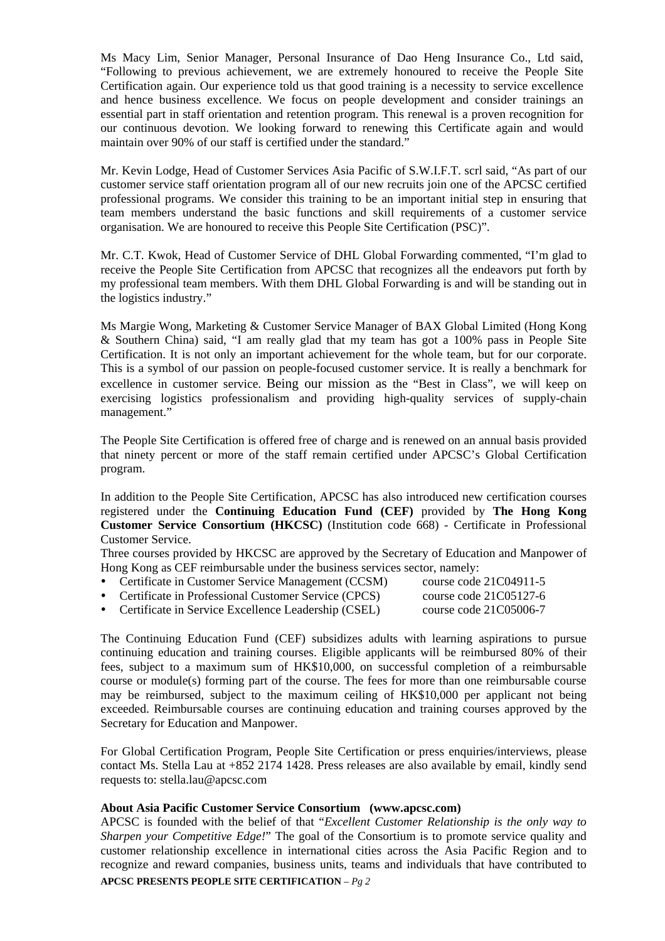Ms Macy Lim, Senior Manager, Personal Insurance of Dao Heng Insurance Co., Ltd said, "Following to previous achievement, we are extremely honoured to receive the People Site Certification again. Our experience told us that good training is a necessity to service excellence and hence business excellence. We focus on people development and consider trainings an essential part in staff orientation and retention program. This renewal is a proven recognition for our continuous devotion. We looking forward to renewing this Certificate again and would maintain over 90% of our staff is certified under the standard."

Mr. Kevin Lodge, Head of Customer Services Asia Pacific of S.W.I.F.T. scrl said, "As part of our customer service staff orientation program all of our new recruits join one of the APCSC certified professional programs. We consider this training to be an important initial step in ensuring that team members understand the basic functions and skill requirements of a customer service organisation. We are honoured to receive this People Site Certification (PSC)".

Mr. C.T. Kwok, Head of Customer Service of DHL Global Forwarding commented, "I'm glad to receive the People Site Certification from APCSC that recognizes all the endeavors put forth by my professional team members. With them DHL Global Forwarding is and will be standing out in the logistics industry."

Ms Margie Wong, Marketing & Customer Service Manager of BAX Global Limited (Hong Kong & Southern China) said, "I am really glad that my team has got a 100% pass in People Site Certification. It is not only an important achievement for the whole team, but for our corporate. This is a symbol of our passion on people-focused customer service. It is really a benchmark for excellence in customer service. Being our mission as the "Best in Class", we will keep on exercising logistics professionalism and providing high-quality services of supply-chain management."

The People Site Certification is offered free of charge and is renewed on an annual basis provided that ninety percent or more of the staff remain certified under APCSC's Global Certification program.

In addition to the People Site Certification, APCSC has also introduced new certification courses registered under the **Continuing Education Fund (CEF)** provided by **The Hong Kong Customer Service Consortium (HKCSC)** (Institution code 668) - Certificate in Professional Customer Service.

Three courses provided by HKCSC are approved by the Secretary of Education and Manpower of Hong Kong as CEF reimbursable under the business services sector, namely:

- y Certificate in Customer Service Management (CCSM) course code 21C04911-5
- y Certificate in Professional Customer Service (CPCS) course code 21C05127-6

y Certificate in Service Excellence Leadership (CSEL) course code 21C05006-7

The Continuing Education Fund (CEF) subsidizes adults with learning aspirations to pursue continuing education and training courses. Eligible applicants will be reimbursed 80% of their fees, subject to a maximum sum of HK\$10,000, on successful completion of a reimbursable course or module(s) forming part of the course. The fees for more than one reimbursable course may be reimbursed, subject to the maximum ceiling of HK\$10,000 per applicant not being exceeded. Reimbursable courses are continuing education and training courses approved by the Secretary for Education and Manpower.

For Global Certification Program, People Site Certification or press enquiries/interviews, please contact Ms. Stella Lau at +852 2174 1428. Press releases are also available by email, kindly send requests to: stella.lau@apcsc.com

## **About Asia Pacific Customer Service Consortium (www.apcsc.com)**

**APCSC PRESENTS PEOPLE SITE CERTIFICATION** *– Pg 2* APCSC is founded with the belief of that "*Excellent Customer Relationship is the only way to Sharpen your Competitive Edge!*" The goal of the Consortium is to promote service quality and customer relationship excellence in international cities across the Asia Pacific Region and to recognize and reward companies, business units, teams and individuals that have contributed to